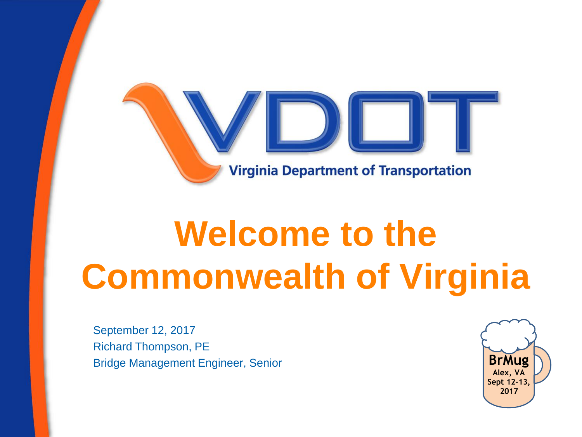

## **Welcome to the Commonwealth of Virginia**

September 12, 2017 Richard Thompson, PE Bridge Management Engineer, Senior

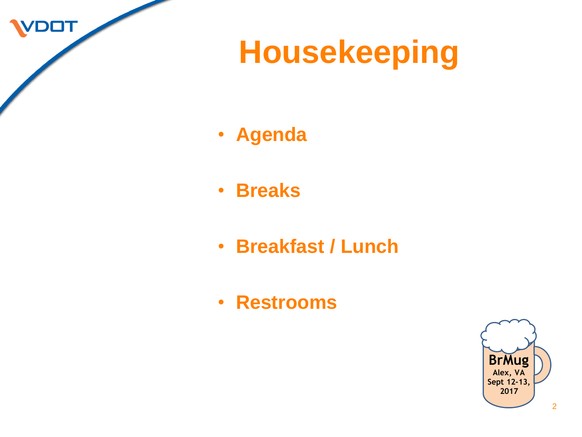VDOT

### **Housekeeping**

- **Agenda**
- **Breaks**
- **Breakfast / Lunch**
- **Restrooms**

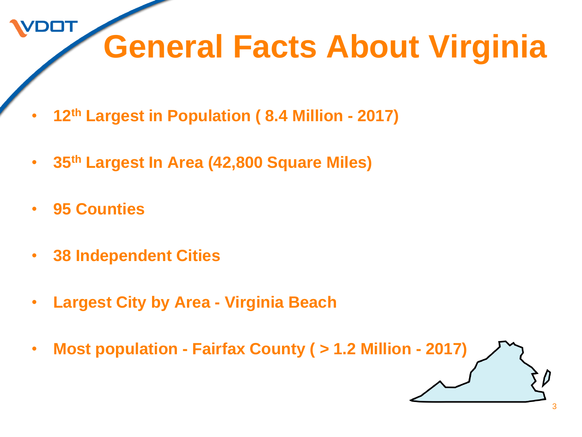### **General Facts About Virginia**

- **12th Largest in Population ( 8.4 Million - 2017)**
- **35th Largest In Area (42,800 Square Miles)**
- **95 Counties**

**DOT** 

- **38 Independent Cities**
- **Largest City by Area - Virginia Beach**
- **Most population - Fairfax County ( > 1.2 Million - 2017)**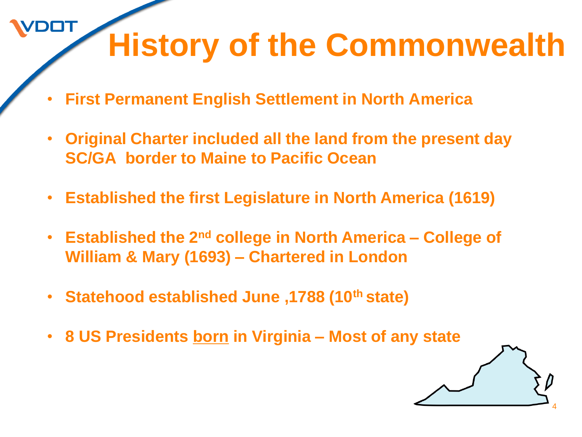## **History of the Commonwealth**

4

• **First Permanent English Settlement in North America** 

**DOT** 

- **Original Charter included all the land from the present day SC/GA border to Maine to Pacific Ocean**
- **Established the first Legislature in North America (1619)**
- **Established the 2nd college in North America – College of William & Mary (1693) – Chartered in London**
- **Statehood established June ,1788 (10th state)**
- **8 US Presidents born in Virginia – Most of any state**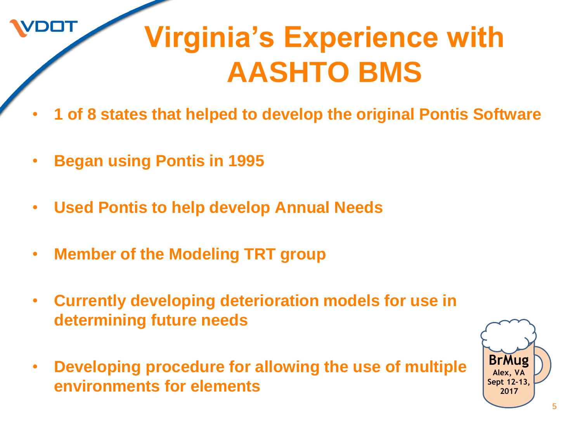

#### **Virginia's Experience with AASHTO BMS**

- **1 of 8 states that helped to develop the original Pontis Software**
- **Began using Pontis in 1995**
- **Used Pontis to help develop Annual Needs**
- **Member of the Modeling TRT group**
- **Currently developing deterioration models for use in determining future needs**
- **Developing procedure for allowing the use of multiple environments for elements**